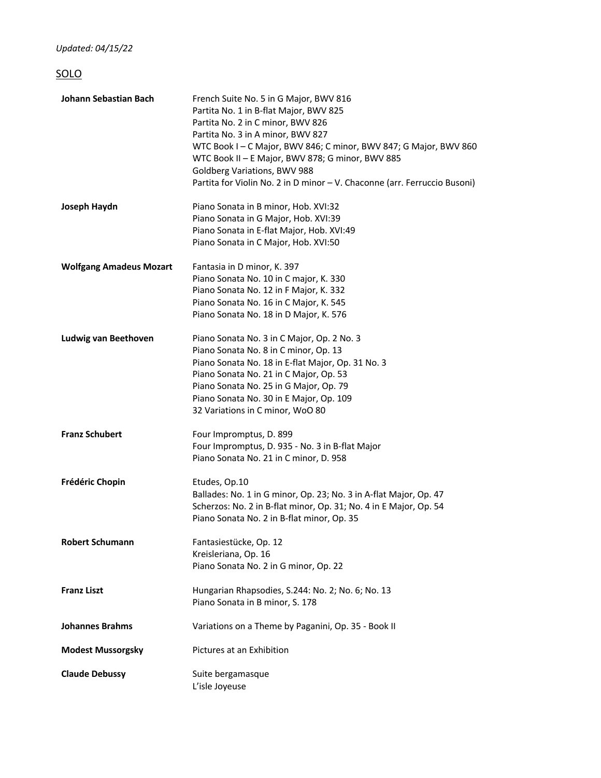*Updated: 04/15/22*

## SOLO

| Johann Sebastian Bach          | French Suite No. 5 in G Major, BWV 816<br>Partita No. 1 in B-flat Major, BWV 825<br>Partita No. 2 in C minor, BWV 826<br>Partita No. 3 in A minor, BWV 827<br>WTC Book I - C Major, BWV 846; C minor, BWV 847; G Major, BWV 860<br>WTC Book II - E Major, BWV 878; G minor, BWV 885<br>Goldberg Variations, BWV 988<br>Partita for Violin No. 2 in D minor - V. Chaconne (arr. Ferruccio Busoni) |
|--------------------------------|--------------------------------------------------------------------------------------------------------------------------------------------------------------------------------------------------------------------------------------------------------------------------------------------------------------------------------------------------------------------------------------------------|
| Joseph Haydn                   | Piano Sonata in B minor, Hob. XVI:32<br>Piano Sonata in G Major, Hob. XVI:39<br>Piano Sonata in E-flat Major, Hob. XVI:49<br>Piano Sonata in C Major, Hob. XVI:50                                                                                                                                                                                                                                |
| <b>Wolfgang Amadeus Mozart</b> | Fantasia in D minor, K. 397<br>Piano Sonata No. 10 in C major, K. 330<br>Piano Sonata No. 12 in F Major, K. 332<br>Piano Sonata No. 16 in C Major, K. 545<br>Piano Sonata No. 18 in D Major, K. 576                                                                                                                                                                                              |
| Ludwig van Beethoven           | Piano Sonata No. 3 in C Major, Op. 2 No. 3<br>Piano Sonata No. 8 in C minor, Op. 13<br>Piano Sonata No. 18 in E-flat Major, Op. 31 No. 3<br>Piano Sonata No. 21 in C Major, Op. 53<br>Piano Sonata No. 25 in G Major, Op. 79<br>Piano Sonata No. 30 in E Major, Op. 109<br>32 Variations in C minor, WoO 80                                                                                      |
| <b>Franz Schubert</b>          | Four Impromptus, D. 899<br>Four Impromptus, D. 935 - No. 3 in B-flat Major<br>Piano Sonata No. 21 in C minor, D. 958                                                                                                                                                                                                                                                                             |
| Frédéric Chopin                | Etudes, Op.10<br>Ballades: No. 1 in G minor, Op. 23; No. 3 in A-flat Major, Op. 47<br>Scherzos: No. 2 in B-flat minor, Op. 31; No. 4 in E Major, Op. 54<br>Piano Sonata No. 2 in B-flat minor, Op. 35                                                                                                                                                                                            |
| <b>Robert Schumann</b>         | Fantasiestücke, Op. 12<br>Kreisleriana, Op. 16<br>Piano Sonata No. 2 in G minor, Op. 22                                                                                                                                                                                                                                                                                                          |
| <b>Franz Liszt</b>             | Hungarian Rhapsodies, S.244: No. 2; No. 6; No. 13<br>Piano Sonata in B minor, S. 178                                                                                                                                                                                                                                                                                                             |
| <b>Johannes Brahms</b>         | Variations on a Theme by Paganini, Op. 35 - Book II                                                                                                                                                                                                                                                                                                                                              |
| <b>Modest Mussorgsky</b>       | Pictures at an Exhibition                                                                                                                                                                                                                                                                                                                                                                        |
| <b>Claude Debussy</b>          | Suite bergamasque<br>L'isle Joyeuse                                                                                                                                                                                                                                                                                                                                                              |